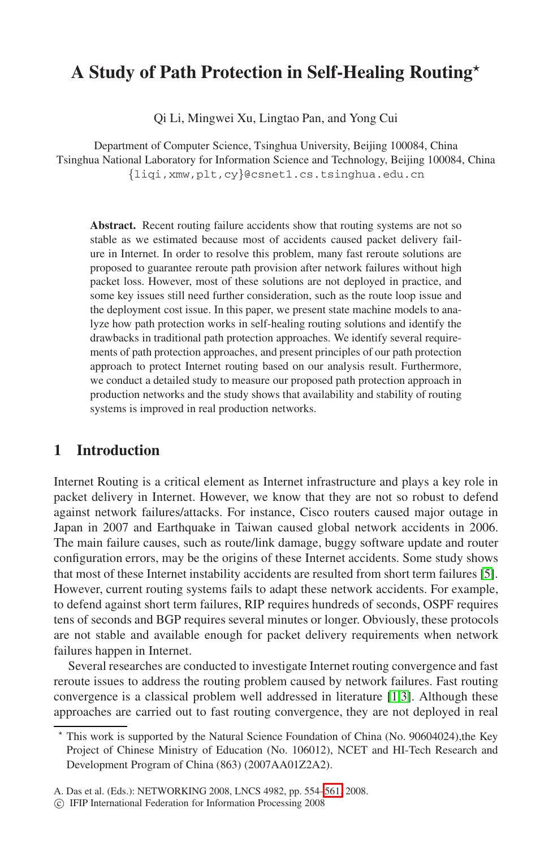# **A Study of Path Protection in Self-Healing Routing***-*

Qi Li, Mingwei Xu, Lingtao Pan, and Yong Cui

Department of Computer Science, Tsinghua University, Beijing 100084, China Tsinghua National Laboratory for Information Science and Technology, Beijing 100084, China {liqi,xmw,plt,cy}@csnet1.cs.tsinghua.edu.cn

**Abstract.** Recent routing failure accidents show that routing systems are not so stable as we estimated because most of accidents caused packet delivery failure in Internet. In order to resolve this problem, many fast reroute solutions are proposed to guarantee reroute path provision after network failures without high packet loss. However, most of these solutions are not deployed in practice, and some key issues still need further consideration, such as the route loop issue and the deployment cost issue. In this paper, we present state machine models to analyze how path protection works in self-healing routing solutions and identify the drawbacks in traditional path protection approaches. We identify several requirements of path protection approaches, and present principles of our path protection approach to protect Internet routing based on our analysis result. Furthermore, we conduct a detailed study to measure our proposed path protection approach in production networks and the study shows that availability and stability of routing systems is improved in real production networks.

# **1 Introduction**

Internet Routing is a critical element as Internet infrastructure and plays a key role in packet delivery in Internet. However, we know that they are not so robust to defend against network failures/attacks. For instance, Cisco routers caused major outage in Japan in 2007 and Earthquake in Taiwan caused global network accidents in 2006. The main failure causes, such as route/link damage, buggy software update and router configuration errors, may be the origins of these Internet accidents. Some study shows that most of these Internet instability accidents are resulted from short term failures [5]. However, current routing systems fails to adapt these network accidents. For example, to defend against short term failures, RIP requires hundreds of seconds, OSPF requires tens of seconds and BGP requires several minutes or longer. Obviously, these protocols are not stable and available enough for packet delivery requirements when network failures happen in Internet.

Several researches are condu[cted](#page-7-0) to investigate Internet routing convergence and fast reroute issues to address the routing problem caused by network failures. Fast routing convergence is a classical problem well addressed in literature [1,3]. Although these approaches are carried out to fast routing convergence, they are not deployed in real

 $\star$  This work is supported by the Natural Science Foundation of China (No. 90604024),the Key Project of Chinese Ministry of Education (No. 106012), NCET and HI-Tech Research and Development Program of China (863) (2007AA01Z2A2).

A. Das et al. (Eds.): NETWORKING 2008, LNCS 4982, pp. 554–561, 2008.

 $\odot$  IFIP International Federation for Information Processing 2008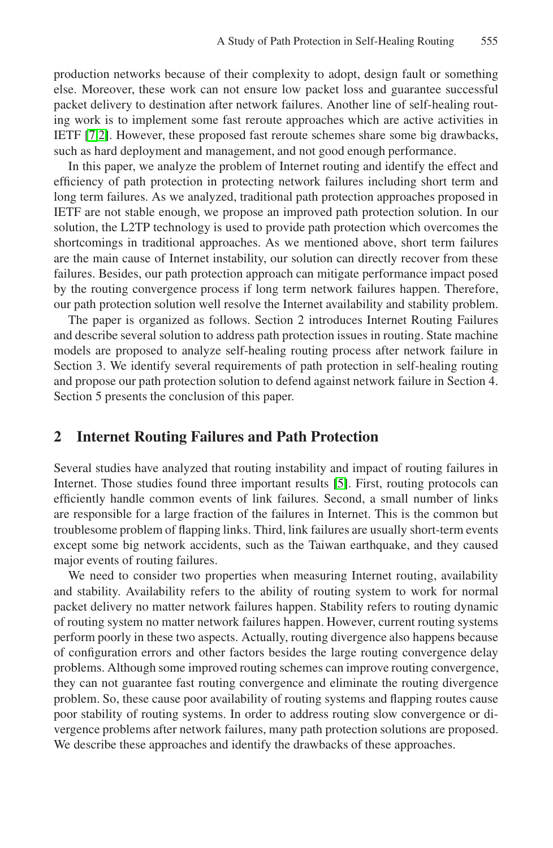production networks because of their complexity to adopt, design fault or something else. Moreover, these work can not ensure low packet loss and guarantee successful packet delivery to destination after network failures. Another line of self-healing routing work is to implement some fast reroute approaches which are active activities in IETF [7,2]. However, these proposed fast reroute schemes share some big drawbacks, such as hard deployment and management, and not good enough performance.

In this paper, we analyze the problem of Internet routing and identify the effect and efficiency of path protection in protecting network failures including short term and long term failures. As we analyzed, traditional path protection approaches proposed in IETF are not stable enough, we propose an improved path protection solution. In our solution, the L2TP technology is used to provide path protection which overcomes the shortcomings in traditional approaches. As we mentioned above, short term failures are the main cause of Internet instability, our solution can directly recover from these failures. Besides, our path protection approach can mitigate performance impact posed by the routing convergence process if long term network failures happen. Therefore, our path protection solution well resolve the Internet availability and stability problem.

The paper is organized as follows. Section 2 introduces Internet Routing Failures and describe several solution to address path protection issues in routing. State machine models are proposed to analyze self-healing routing process after network failure in Section 3. We identify several requirements of path protection in self-healing routing and propose our path protection solution to defend against network failure in Section 4. Section 5 presents the conclusion of this paper.

### **2 Internet Routing Failures and Path Protection**

Several studies have analyzed that routing instability and impact of routing failures in Internet. Those studies found three important results [5]. First, routing protocols can efficiently handle common events of link failures. Second, a small number of links are responsible for a large fraction of the failures in Internet. This is the common but troublesome problem of flapping links. Third, link failures are usually short-term events except some big network accidents, such as the Taiwan earthquake, and they caused major events of routing failures.

We need to consider two properties when measuring Internet routing, availability and stability. Availability refers to the ability of routing system to work for normal packet delivery no matter network failures happen. Stability refers to routing dynamic of routing system no matter network failures happen. However, current routing systems perform poorly in these two aspects. Actually, routing divergence also happens because of configuration errors and other factors besides the large routing convergence delay problems. Although some improved routing schemes can improve routing convergence, they can not guarantee fast routing convergence and eliminate the routing divergence problem. So, these cause poor availability of routing systems and flapping routes cause poor stability of routing systems. In order to address routing slow convergence or divergence problems after network failures, many path protection solutions are proposed. We describe these approaches and identify the drawbacks of these approaches.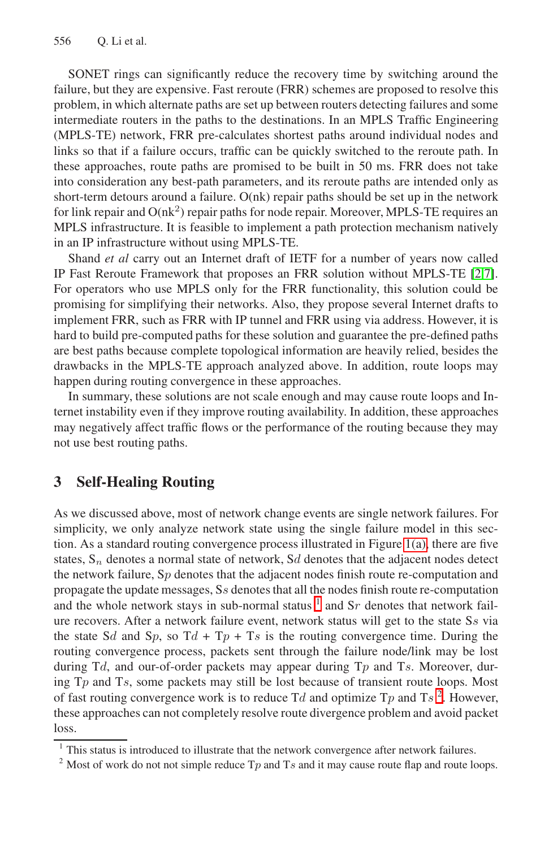#### 556 Q. Li et al.

SONET rings can significantly reduce the recovery time by switching around the failure, but they are expensive. Fast reroute (FRR) schemes are proposed to resolve this problem, in which alternate paths are set up between routers detecting failures and some intermediate routers in the paths to the destinations. In an MPLS Traffic Engineering (MPLS-TE) network, FRR pre-calculates shortest paths around individual nodes and links so that if a failure occurs, traffic can be quickly switched to the reroute path. In these approaches, route paths are promised to be built in 50 ms. FRR does not take into consideration any best-path parameters, and its reroute paths are intended only as short-term detours around a failure. O(nk) repair paths should be set up in the network for link repair and  $O(nk^2)$  repair paths for node repair. Moreover, MPLS-TE requires an MPLS infrastructure. It is feasible to implement a path protection mechanism natively in an IP infrastructure without using MPLS-TE.

Shand *et al* carry out an Internet draft of IETF for a number of years now called IP Fast Reroute Framework that proposes an FRR solution without MPLS-TE [2,7]. For operators who use MPLS only for the FRR functionality, this solution could be promising for simplifying their networks. Also, they propose several Internet drafts to implement FRR, such as FRR with IP tunnel and FRR using via address. However, it is hard to build pre-computed paths for these solution and guarantee the pre-defined paths are best paths because complete topological information are heavily relied, besides the drawbacks in the MPLS-TE approach analyzed above. In addition, route loops may happen during routing convergence in these approaches.

In summary, these solutions are not scale enough and may cause route loops and Internet instability even if they improve routing availability. In addition, these approaches may negatively affect traffic flows or the performance of the routing because they may not use best routing paths.

## **3 Self-Healing Routing**

As we discussed above, most of network change events are single network failures. For simplicity, we only analyze network state using the single failure model in this section. As a standard routing convergence process illustrated in Figure 1(a), there are five states,  $S_n$  denotes a normal state of network, Sd denotes that the adjacent nodes detect the network failure,  $Sp$  denotes that the adjacent nodes finish route re-computation and propagate the update messages, Ss denotes that all the nodes finish route re-computation and the whole network stays in sub-normal status  $<sup>1</sup>$  and Sr denotes that network fail-</sup> ure recovers. After a network failure event, network status will get to the state Ss via the state Sd and Sp, so  $Td + Tp + Ts$  is the routing convergence time. During the routing convergence process, packets sent through the failure node/link may be lost during  $Td$ , and our-of-order packets may appear during  $Tp$  and Ts. Moreover, during  $Tp$  and  $Ts$ , some packets may still be lost because of transient route loops. Most of fast routing convergence work is to reduce  $Td$  and optimize  $Tp$  and  $Ts^2$ . However, these approaches can not completely resolve route divergence problem and avoid packet loss.

<sup>&</sup>lt;sup>1</sup> This status is introduced to illustrate that the network convergence after network failures.

<sup>&</sup>lt;sup>2</sup> Most of work do not not simple reduce  $Tp$  and  $Ts$  and it may cause route flap and route loops.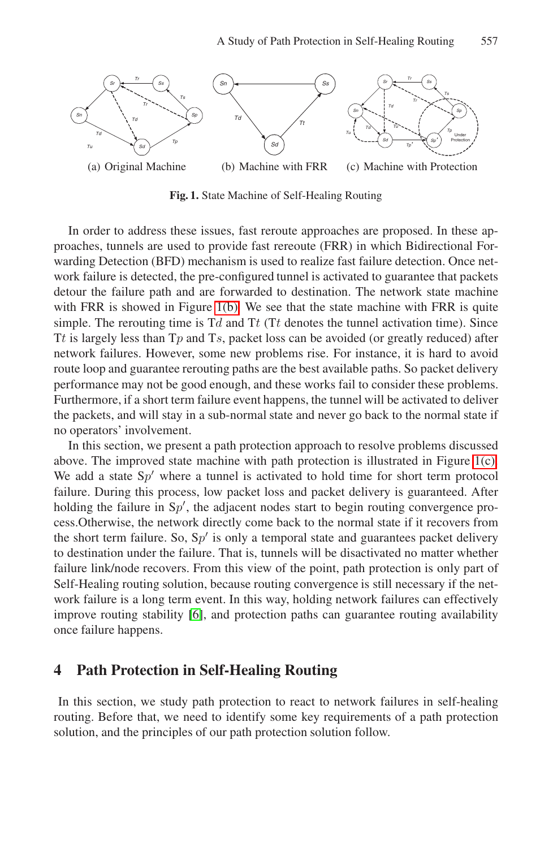

**Fig. 1.** State Machine of Self-Healing Routing

In order to address these issues, fast reroute approaches are proposed. In these approaches, tunnels are used to provide fast rereoute (FRR) in which Bidirectional Forwarding Detection (BFD) mechanism is used to realize fast failure detection. Once network failure is detected, the pre-configured tunnel is activated to guarantee that packets detour the failure path and are forwarded to destination. The network state machine with FRR is showed in Figure 1(b). We see that the state machine with FRR is quite simple. The rerouting time is  $Td$  and  $Tt$  (Tt denotes the tunnel activation time). Since Tt is largely less than  $Tp$  and  $Ts$ , packet loss can be avoided (or greatly reduced) after network failures. However, some new problems rise. For instance, it is hard to avoid route loop and guarantee rerouting paths are the best available paths. So packet delivery performance may not be good enough, and these works fail to consider these problems. Furthermore, if a short term failure event happens, the tunnel will be activated to deliver the packets, and will stay in a sub-normal state and never go back to the normal state if no operators' involvement.

In this section, we present a path protection approach to resolve problems discussed above. The improved state machine with path protection is illustrated in Figure  $1(c)$ . We add a state  $Sp'$  where a tunnel is activated to hold time for short term protocol failure. During this process, low packet loss and packet delivery is guaranteed. After holding the failure in  $Sp'$ , the adjacent nodes start to begin routing convergence process.Otherwise, the network directly come back to the normal state if it recovers from the short term failure. So,  $Sp'$  is only a temporal state and guarantees packet delivery to destination under the failure. That is, tunnels will be disactivated no matter whether failure link/node recovers. From this view of the point, path protection is only part of Self-Healing routing solution, because routing convergence is still necessary if the network failure is a long term event. In this way, holding network failures can effectively improve routing stability [6], and protection paths can guarantee routing availability once failure happens.

## **4 Path Protection in Self-Healing Routing**

In this section, we study path protection to react to network failures in self-healing routing. Before that, we need to identify some key requirements of a path protection solution, and the principles of our path protection solution follow.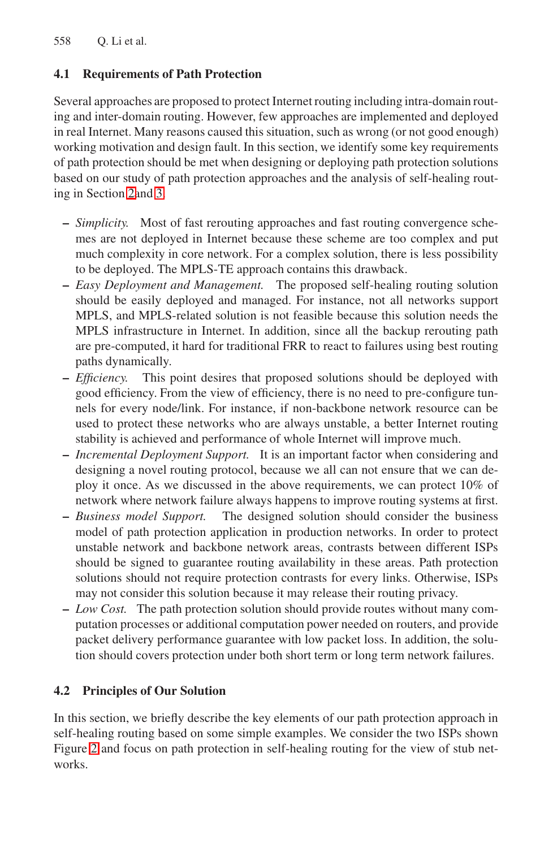558 Q. Li et al.

#### **4.1 Requirements of Path Protection**

Several approaches are proposed to protect Internet routing including intra-domain routing and inter-domain routing. However, few approaches are implemented and deployed in real Internet. Many reasons caused this situation, such as wrong (or not good enough) working motivation and design fault. In this section, we identify some key requirements of path protection should be met when designing or deploying path protection solutions based on our study of path protection approaches and the analysis of self-healing routing in Section 2and 3.

- **–** *Simplicity.* Most of fast rerouting approaches and fast routing convergence schemes are not deployed in Internet because these scheme are too complex and put much complexity in core network. For a complex solution, there is less possibility to be deployed. The MPLS-TE approach contains this drawback.
- **–** *Easy Deployment and Management.* The proposed self-healing routing solution should be easily deployed and managed. For instance, not all networks support MPLS, and MPLS-related solution is not feasible because this solution needs the MPLS infrastructure in Internet. In addition, since all the backup rerouting path are pre-computed, it hard for traditional FRR to react to failures using best routing paths dynamically.
- **–** *Efficiency.* This point desires that proposed solutions should be deployed with good efficiency. From the view of efficiency, there is no need to pre-configure tunnels for every node/link. For instance, if non-backbone network resource can be used to protect these networks who are always unstable, a better Internet routing stability is achieved and performance of whole Internet will improve much.
- **–** *Incremental Deployment Support.* It is an important factor when considering and designing a novel routing protocol, because we all can not ensure that we can deploy it once. As we discussed in the above requirements, we can protect 10% of network where network failure always happens to improve routing systems at first.
- **–** *Business model Support.* The designed solution should consider the business model of path protection application in production networks. In order to protect unstable network and backbone network areas, contrasts between different ISPs should be signed to guarantee routing availability in these areas. Path protection solutions should not require protection contrasts for every links. Otherwise, ISPs may not consider this solution because it may release their routing privacy.
- **–** *Low Cost.* The path protection solution should provide routes without many computation processes or additional computation power needed on routers, and provide packet delivery performance guarantee with low packet loss. In addition, the solution should covers protection under both short term or long term network failures.

#### **4.2 Principles of Our Solution**

In this section, we briefly describe the key elements of our path protection approach in self-healing routing based on some simple examples. We consider the two ISPs shown Figure 2 and focus on path protection in self-healing routing for the view of stub networks.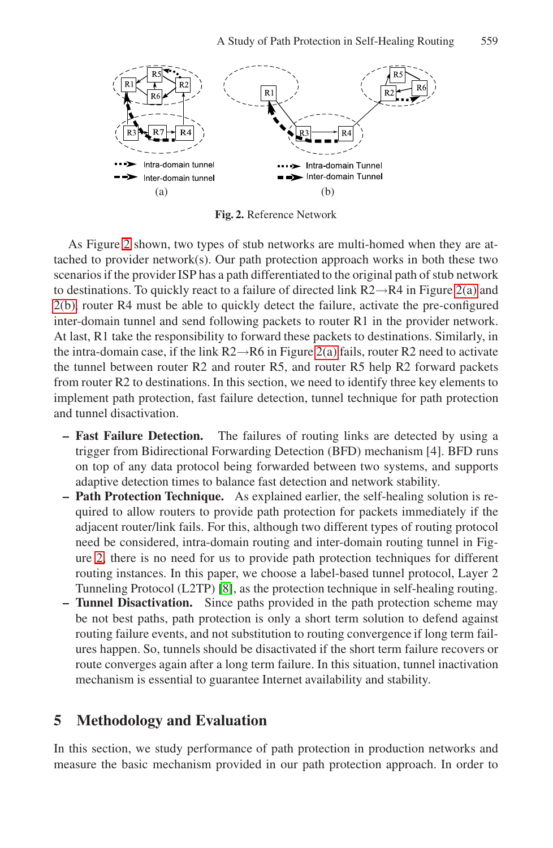

**Fig. 2.** Reference Network

As Figure 2 shown, two types of stub networks are multi-homed when they are attached to provider network(s). Our path protection approach works in both these two scenarios if the provider ISP has a path differentiated to the original path of stub network to destinations. To quickly react to a failure of directed link  $R2 \rightarrow R4$  in Figure 2(a) and 2(b), router R4 must be able to quickly detect the failure, activate the pre-configured inter-domain tunnel and send following packets to router R1 in the provider network. At last, R1 take the responsibility to forward these packets to destinations. Similarly, in the intra-domain case, if the link  $R2 \rightarrow R6$  in Figure 2(a) fails, router R2 need to activate the tunnel between router R2 and router R5, and router R5 help R2 forward packets from router R2 to destinations. In this section, we need to identify three key elements to implement path protection, fast failure detection, tunnel technique for path protection and tunnel disactivation.

- **Fast Failure Detection.** The failures of routing links are detected by using a trigger from Bidirectional Forwarding Detection (BFD) mechanism [4]. BFD runs on top of any data protocol being forwarded between two systems, and supports adaptive detection times to balance fast detection and network stability.
- **Path Protection Technique.** As explained earlier, the self-healing solution is required to allow routers to provide path protection for packets immediately if the adjacent router/link fails. For this, although two different types of routing protocol need be considered, intra-domain routing and inter-domain routing tunnel in Figure 2, there is no need for us to provide path protection techniques for different routing instances. In this paper, we choose a label-based tunnel protocol, Layer 2 Tunneling Protocol (L2TP) [8], as the protection technique in self-healing routing.
- **Tunnel Disactivation.** Since paths provided in the path protection scheme may be not best paths, path protection is only a short term solution to defend against routing failure events, and not substitution to routing convergence if long term failures happen. So, tunnels should be disactivated if the short term failure recovers or route converges again after a long term failure. In this situation, tunnel inactivation mechanism is essential to guarantee Internet availability and stability.

# **5 Methodology and Evaluation**

In this section, we study performance of path protection in production networks and measure the basic mechanism provided in our path protection approach. In order to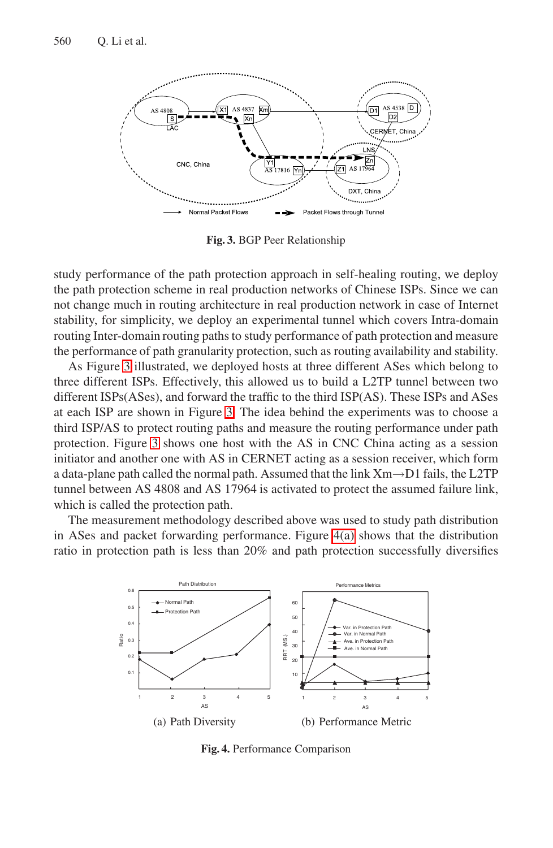560 Q. Li et al.



**Fig. 3.** BGP Peer Relationship

study performance of the path protection approach in self-healing routing, we deploy the path protection scheme in real production networks of Chinese ISPs. Since we can not change much in routing architecture in real production network in case of Internet stability, for simplicity, we deploy an experimental tunnel which covers Intra-domain routing Inter-domain routing paths to study performance of path protection and measure the performance of path granularity protection, such as routing availability and stability.

As Figure 3 illustrated, we deployed hosts at three different ASes which belong to three different ISPs. Effectively, this allowed us to build a L2TP tunnel between two different ISPs(ASes), and forward the traffic to the third ISP(AS). These ISPs and ASes at each ISP are shown in Figure 3. The idea behind the experiments was to choose a third ISP/AS to protect routing paths and measure the routing performance under path protection. Figure 3 shows one host with the AS in CNC China acting as a session initiator and another one with AS in CERNET acting as a session receiver, which form a data-plane path called the normal path. Assumed that the link Xm→D1 fails, the L2TP tunnel between AS 4808 and AS 17964 is activated to protect the assumed failure link, which is called the protection path.

The measurement methodology described above was used to study path distribution in ASes and packet forwarding performance. Figure 4(a) shows that the distribution ratio in protection path is less than 20% and path protection successfully diversifies



**Fig. 4.** Performance Comparison